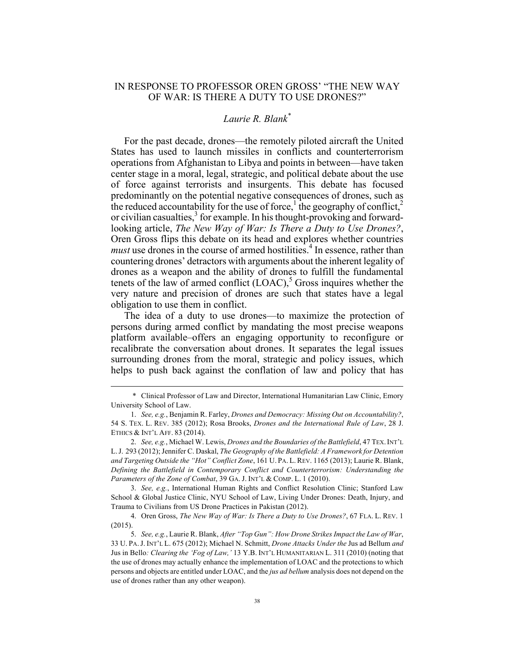## IN RESPONSE TO PROFESSOR OREN GROSS' "THE NEW WAY OF WAR: IS THERE A DUTY TO USE DRONES?"

## *Laurie R. Blank\**

For the past decade, drones—the remotely piloted aircraft the United States has used to launch missiles in conflicts and counterterrorism operations from Afghanistan to Libya and points in between—have taken center stage in a moral, legal, strategic, and political debate about the use of force against terrorists and insurgents. This debate has focused predominantly on the potential negative consequences of drones, such as the reduced accountability for the use of force,<sup>1</sup> the geography of conflict,<sup>2</sup> or civilian casualties,<sup>3</sup> for example. In his thought-provoking and forwardlooking article, *The New Way of War: Is There a Duty to Use Drones?*, Oren Gross flips this debate on its head and explores whether countries *must* use drones in the course of armed hostilities.<sup>4</sup> In essence, rather than countering drones' detractors with arguments about the inherent legality of drones as a weapon and the ability of drones to fulfill the fundamental tenets of the law of armed conflict  $(LOAC)$ ,<sup>5</sup> Gross inquires whether the very nature and precision of drones are such that states have a legal obligation to use them in conflict.

The idea of a duty to use drones—to maximize the protection of persons during armed conflict by mandating the most precise weapons platform available–offers an engaging opportunity to reconfigure or recalibrate the conversation about drones. It separates the legal issues surrounding drones from the moral, strategic and policy issues, which helps to push back against the conflation of law and policy that has

3. *See, e.g.*, International Human Rights and Conflict Resolution Clinic; Stanford Law School & Global Justice Clinic, NYU School of Law, Living Under Drones: Death, Injury, and Trauma to Civilians from US Drone Practices in Pakistan (2012).

4. Oren Gross, *The New Way of War: Is There a Duty to Use Drones?*, 67 FLA. L. REV. 1 (2015).

 <sup>\*</sup> Clinical Professor of Law and Director, International Humanitarian Law Clinic, Emory University School of Law.

<sup>1.</sup> *See, e.g.*, Benjamin R. Farley, *Drones and Democracy: Missing Out on Accountability?*, 54 S. TEX. L. REV. 385 (2012); Rosa Brooks, *Drones and the International Rule of Law*, 28 J. ETHICS & INT'L AFF. 83 (2014).

<sup>2.</sup> *See, e.g.*, Michael W. Lewis, *Drones and the Boundaries of the Battlefield*, 47 TEX.INT'L L.J. 293 (2012); Jennifer C. Daskal, *The Geography of the Battlefield: A Framework for Detention and Targeting Outside the "Hot" Conflict Zone*, 161 U. PA. L.REV. 1165 (2013); Laurie R. Blank, *Defining the Battlefield in Contemporary Conflict and Counterterrorism: Understanding the Parameters of the Zone of Combat*, 39 GA. J. INT'L & COMP. L. 1 (2010).

<sup>5.</sup> *See, e.g.*, Laurie R. Blank, *After "Top Gun": How Drone Strikes Impact the Law of War*, 33 U. PA.J. INT'L L. 675 (2012); Michael N. Schmitt, *Drone Attacks Under the* Jus ad Bellum *and*  Jus in Bello*: Clearing the 'Fog of Law,'* 13 Y.B. INT'L HUMANITARIAN L. 311 (2010) (noting that the use of drones may actually enhance the implementation of LOAC and the protections to which persons and objects are entitled under LOAC, and the *jus ad bellum* analysis does not depend on the use of drones rather than any other weapon).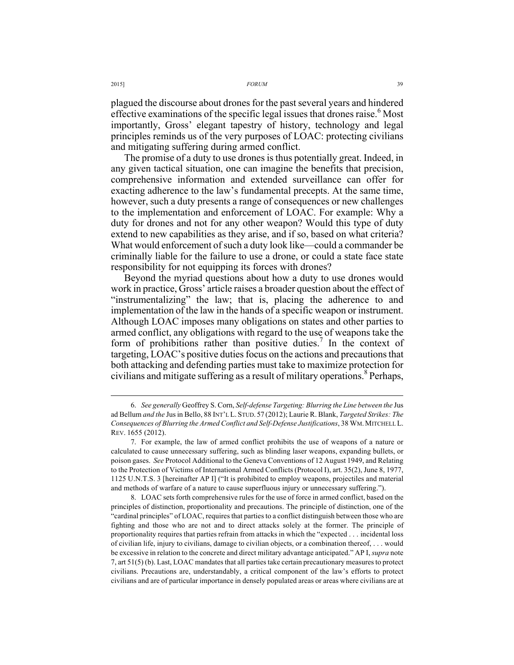2015] *FORUM* 39

plagued the discourse about drones for the past several years and hindered effective examinations of the specific legal issues that drones raise.<sup>6</sup> Most importantly, Gross' elegant tapestry of history, technology and legal principles reminds us of the very purposes of LOAC: protecting civilians and mitigating suffering during armed conflict.

The promise of a duty to use drones is thus potentially great. Indeed, in any given tactical situation, one can imagine the benefits that precision, comprehensive information and extended surveillance can offer for exacting adherence to the law's fundamental precepts. At the same time, however, such a duty presents a range of consequences or new challenges to the implementation and enforcement of LOAC. For example: Why a duty for drones and not for any other weapon? Would this type of duty extend to new capabilities as they arise, and if so, based on what criteria? What would enforcement of such a duty look like—could a commander be criminally liable for the failure to use a drone, or could a state face state responsibility for not equipping its forces with drones?

Beyond the myriad questions about how a duty to use drones would work in practice, Gross' article raises a broader question about the effect of "instrumentalizing" the law; that is, placing the adherence to and implementation of the law in the hands of a specific weapon or instrument. Although LOAC imposes many obligations on states and other parties to armed conflict, any obligations with regard to the use of weapons take the form of prohibitions rather than positive duties.<sup>7</sup> In the context of targeting, LOAC's positive duties focus on the actions and precautions that both attacking and defending parties must take to maximize protection for civilians and mitigate suffering as a result of military operations.<sup>8</sup> Perhaps,

 <sup>6.</sup> *See generally* Geoffrey S. Corn, *Self-defense Targeting: Blurring the Line between the* Jus ad Bellum *and the* Jus in Bello, 88 INT'L L. STUD. 57 (2012); Laurie R. Blank, *Targeted Strikes: The Consequences of Blurring the Armed Conflict and Self-Defense Justifications*, 38 WM.MITCHELL L. REV. 1655 (2012).

<sup>7.</sup> For example, the law of armed conflict prohibits the use of weapons of a nature or calculated to cause unnecessary suffering, such as blinding laser weapons, expanding bullets, or poison gases. *See* Protocol Additional to the Geneva Conventions of 12 August 1949, and Relating to the Protection of Victims of International Armed Conflicts (Protocol I), art. 35(2), June 8, 1977, 1125 U.N.T.S. 3 [hereinafter AP I] ("It is prohibited to employ weapons, projectiles and material and methods of warfare of a nature to cause superfluous injury or unnecessary suffering.").

<sup>8.</sup> LOAC sets forth comprehensive rules for the use of force in armed conflict, based on the principles of distinction, proportionality and precautions. The principle of distinction, one of the "cardinal principles" of LOAC, requires that parties to a conflict distinguish between those who are fighting and those who are not and to direct attacks solely at the former. The principle of proportionality requires that parties refrain from attacks in which the "expected . . . incidental loss of civilian life, injury to civilians, damage to civilian objects, or a combination thereof, . . . would be excessive in relation to the concrete and direct military advantage anticipated." AP I, *supra* note 7, art 51(5) (b). Last, LOAC mandates that all parties take certain precautionary measures to protect civilians. Precautions are, understandably, a critical component of the law's efforts to protect civilians and are of particular importance in densely populated areas or areas where civilians are at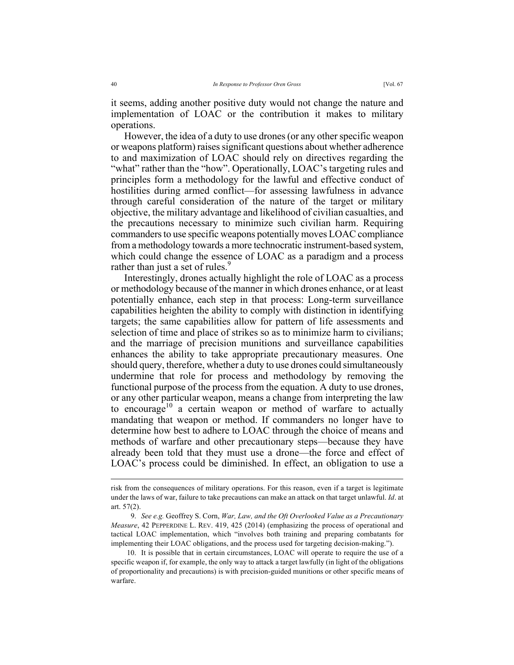it seems, adding another positive duty would not change the nature and implementation of LOAC or the contribution it makes to military operations.

However, the idea of a duty to use drones (or any other specific weapon or weapons platform) raises significant questions about whether adherence to and maximization of LOAC should rely on directives regarding the "what" rather than the "how". Operationally, LOAC's targeting rules and principles form a methodology for the lawful and effective conduct of hostilities during armed conflict—for assessing lawfulness in advance through careful consideration of the nature of the target or military objective, the military advantage and likelihood of civilian casualties, and the precautions necessary to minimize such civilian harm. Requiring commanders to use specific weapons potentially moves LOAC compliance from a methodology towards a more technocratic instrument-based system, which could change the essence of LOAC as a paradigm and a process rather than just a set of rules.<sup>9</sup>

Interestingly, drones actually highlight the role of LOAC as a process or methodology because of the manner in which drones enhance, or at least potentially enhance, each step in that process: Long-term surveillance capabilities heighten the ability to comply with distinction in identifying targets; the same capabilities allow for pattern of life assessments and selection of time and place of strikes so as to minimize harm to civilians; and the marriage of precision munitions and surveillance capabilities enhances the ability to take appropriate precautionary measures. One should query, therefore, whether a duty to use drones could simultaneously undermine that role for process and methodology by removing the functional purpose of the process from the equation. A duty to use drones, or any other particular weapon, means a change from interpreting the law to encourage<sup>10</sup> a certain weapon or method of warfare to actually mandating that weapon or method. If commanders no longer have to determine how best to adhere to LOAC through the choice of means and methods of warfare and other precautionary steps—because they have already been told that they must use a drone—the force and effect of LOAC's process could be diminished. In effect, an obligation to use a

risk from the consequences of military operations. For this reason, even if a target is legitimate under the laws of war, failure to take precautions can make an attack on that target unlawful. *Id*. at art. 57(2).

<sup>9.</sup> *See e.g.* Geoffrey S. Corn, *War, Law, and the Oft Overlooked Value as a Precautionary Measure*, 42 PEPPERDINE L. REV. 419, 425 (2014) (emphasizing the process of operational and tactical LOAC implementation, which "involves both training and preparing combatants for implementing their LOAC obligations, and the process used for targeting decision-making.").

<sup>10.</sup> It is possible that in certain circumstances, LOAC will operate to require the use of a specific weapon if, for example, the only way to attack a target lawfully (in light of the obligations of proportionality and precautions) is with precision-guided munitions or other specific means of warfare.